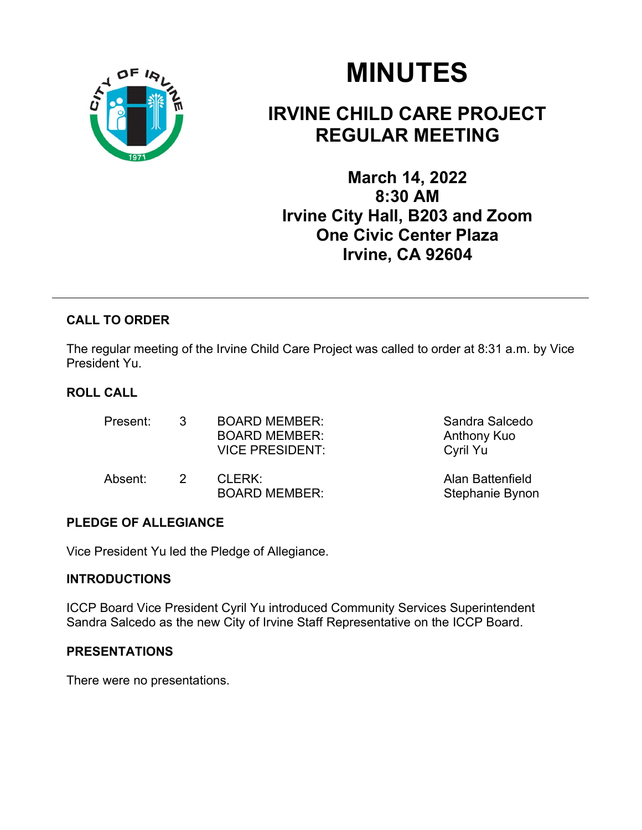

# MINUTES

# IRVINE CHILD CARE PROJECT REGULAR MEETING

March 14, 2022 8:30 AM Irvine City Hall, B203 and Zoom One Civic Center Plaza Irvine, CA 92604

# CALL TO ORDER

The regular meeting of the Irvine Child Care Project was called to order at 8:31 a.m. by Vice President Yu.

# ROLL CALL

| Present: | $\mathcal{R}$ | <b>BOARD MEMBER:</b><br><b>BOARD MEMBER:</b><br><b>VICE PRESIDENT:</b> | Sandra Salcedo<br>Anthony Kuo<br>Cyril Yu |  |
|----------|---------------|------------------------------------------------------------------------|-------------------------------------------|--|
| Absent:  | $\mathcal{P}$ | CLERK:<br><b>BOARD MEMBER:</b>                                         | Alan Battenfield<br>Stephanie Bynon       |  |

### PLEDGE OF ALLEGIANCE

Vice President Yu led the Pledge of Allegiance.

#### **INTRODUCTIONS**

ICCP Board Vice President Cyril Yu introduced Community Services Superintendent Sandra Salcedo as the new City of Irvine Staff Representative on the ICCP Board.

#### PRESENTATIONS

There were no presentations.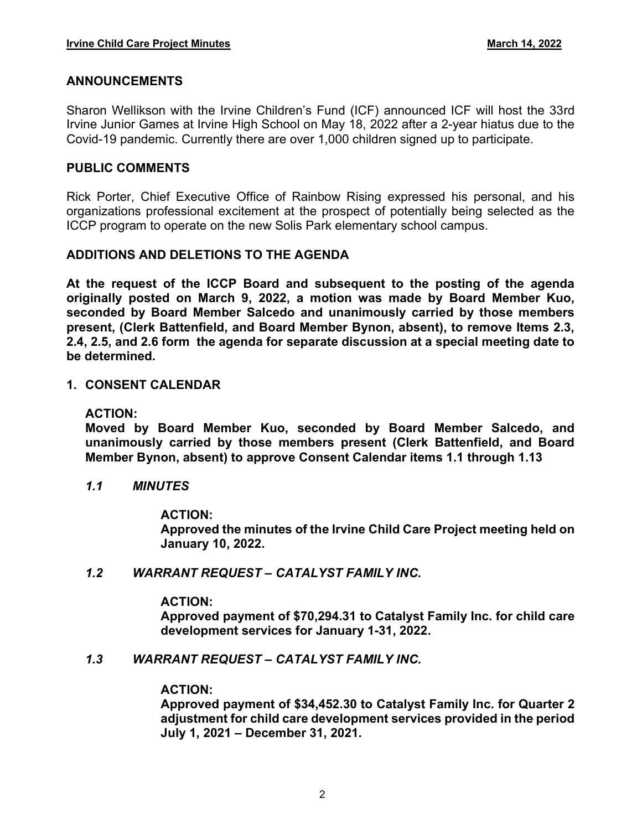#### ANNOUNCEMENTS

Sharon Wellikson with the Irvine Children's Fund (ICF) announced ICF will host the 33rd Irvine Junior Games at Irvine High School on May 18, 2022 after a 2-year hiatus due to the Covid-19 pandemic. Currently there are over 1,000 children signed up to participate.

#### PUBLIC COMMENTS

Rick Porter, Chief Executive Office of Rainbow Rising expressed his personal, and his organizations professional excitement at the prospect of potentially being selected as the ICCP program to operate on the new Solis Park elementary school campus.

#### ADDITIONS AND DELETIONS TO THE AGENDA

At the request of the ICCP Board and subsequent to the posting of the agenda originally posted on March 9, 2022, a motion was made by Board Member Kuo, seconded by Board Member Salcedo and unanimously carried by those members present, (Clerk Battenfield, and Board Member Bynon, absent), to remove Items 2.3, 2.4, 2.5, and 2.6 form the agenda for separate discussion at a special meeting date to be determined.

#### 1. CONSENT CALENDAR

ACTION:

Moved by Board Member Kuo, seconded by Board Member Salcedo, and unanimously carried by those members present (Clerk Battenfield, and Board Member Bynon, absent) to approve Consent Calendar items 1.1 through 1.13

1.1 MINUTES

#### ACTION:

Approved the minutes of the Irvine Child Care Project meeting held on January 10, 2022.

1.2 WARRANT REQUEST - CATALYST FAMILY INC.

#### ACTION:

Approved payment of \$70,294.31 to Catalyst Family Inc. for child care development services for January 1-31, 2022.

1.3 WARRANT REQUEST - CATALYST FAMILY INC.

#### ACTION:

Approved payment of \$34,452.30 to Catalyst Family Inc. for Quarter 2 adjustment for child care development services provided in the period July 1, 2021 December 31, 2021.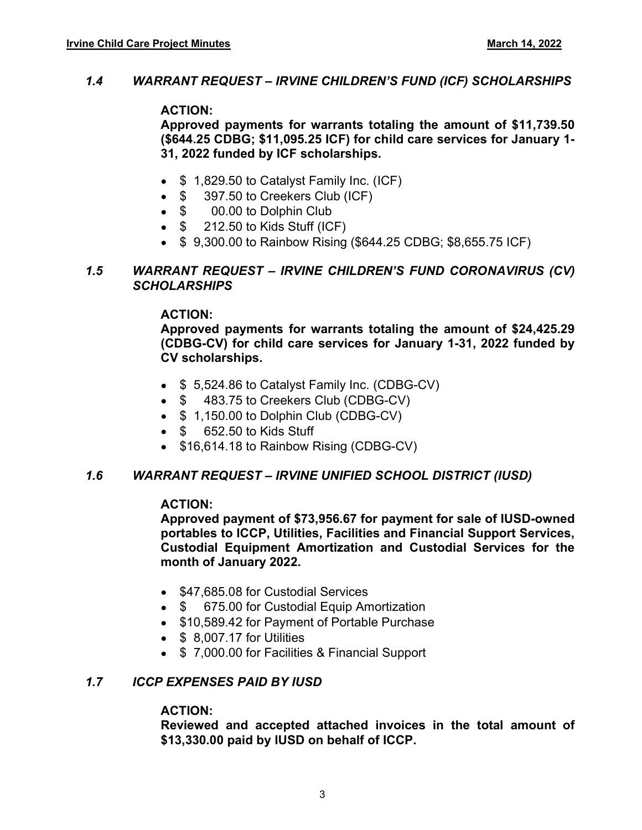#### 1.4 WARRANT REQUEST - IRVINE CHILDREN'S FUND (ICF) SCHOLARSHIPS

#### ACTION:

Approved payments for warrants totaling the amount of \$11,739.50 (\$644.25 CDBG; \$11,095.25 ICF) for child care services for January 1- 31, 2022 funded by ICF scholarships.

- $\bullet$  \$ 1,829.50 to Catalyst Family Inc. (ICF)
- $\bullet$  \$ 397.50 to Creekers Club (ICF)
- \$ 00.00 to Dolphin Club
- $\bullet$  \$ 212.50 to Kids Stuff (ICF)
- \$ 9,300.00 to Rainbow Rising (\$644.25 CDBG; \$8,655.75 ICF)

#### 1.5 WARRANT REQUEST – IRVINE CHILDREN'S FUND CORONAVIRUS (CV) **SCHOLARSHIPS**

#### ACTION:

Approved payments for warrants totaling the amount of \$24,425.29 (CDBG-CV) for child care services for January 1-31, 2022 funded by CV scholarships.

- \$ 5,524.86 to Catalyst Family Inc. (CDBG-CV)
- $\bullet$  \$ 483.75 to Creekers Club (CDBG-CV)
- $\bullet$  \$ 1,150.00 to Dolphin Club (CDBG-CV)
- \$ 652.50 to Kids Stuff
- \$16,614.18 to Rainbow Rising (CDBG-CV)

#### 1.6 WARRANT REQUEST IRVINE UNIFIED SCHOOL DISTRICT (IUSD)

#### ACTION:

Approved payment of \$73,956.67 for payment for sale of IUSD-owned portables to ICCP, Utilities, Facilities and Financial Support Services, Custodial Equipment Amortization and Custodial Services for the month of January 2022.

- \$47,685.08 for Custodial Services
- \$ 675.00 for Custodial Equip Amortization
- \$10,589.42 for Payment of Portable Purchase
- $\bullet$  \$ 8.007.17 for Utilities
- \$7,000.00 for Facilities & Financial Support

#### 1.7 ICCP EXPENSES PAID BY IUSD

#### ACTION:

Reviewed and accepted attached invoices in the total amount of \$13,330.00 paid by IUSD on behalf of ICCP.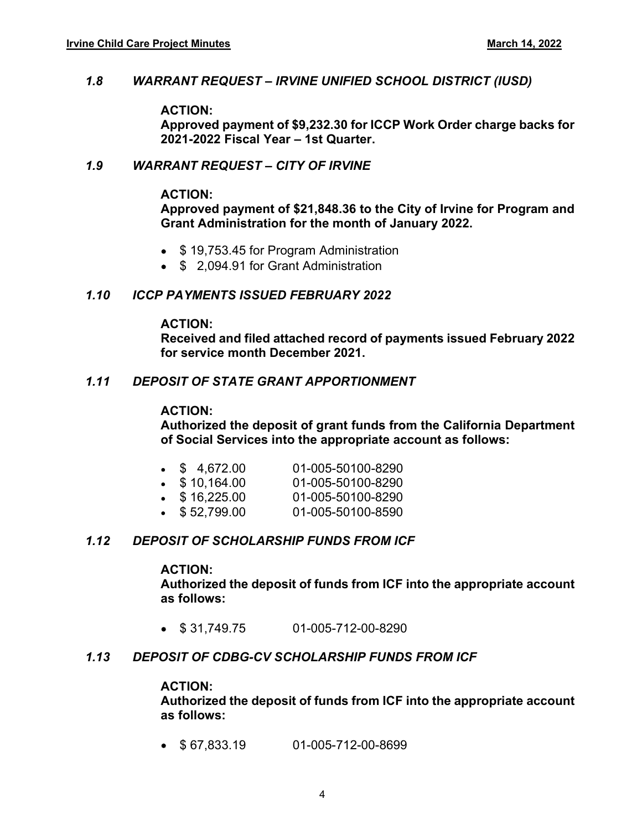#### 1.8 WARRANT REQUEST IRVINE UNIFIED SCHOOL DISTRICT (IUSD)

#### ACTION:

Approved payment of \$9,232.30 for ICCP Work Order charge backs for 2021-2022 Fiscal Year - 1st Quarter.

#### 1.9 WARRANT REQUEST - CITY OF IRVINE

#### ACTION:

#### Approved payment of \$21,848.36 to the City of Irvine for Program and Grant Administration for the month of January 2022.

- \$19,753.45 for Program Administration
- \$ 2.094.91 for Grant Administration

#### 1.10 ICCP PAYMENTS ISSUED FEBRUARY 2022

#### ACTION:

Received and filed attached record of payments issued February 2022 for service month December 2021.

#### 1.11 DEPOSIT OF STATE GRANT APPORTIONMENT

#### ACTION:

Authorized the deposit of grant funds from the California Department of Social Services into the appropriate account as follows:

| $\bullet$ \$ 4,672.00 | 01-005-50100-8290 |
|-----------------------|-------------------|
| $\bullet$ \$10,164.00 | 01-005-50100-8290 |
| $\bullet$ \$16,225.00 | 01-005-50100-8290 |
| $\bullet$ \$52,799.00 | 01-005-50100-8590 |

#### 1.12 DEPOSIT OF SCHOLARSHIP FUNDS FROM ICF

#### ACTION:

Authorized the deposit of funds from ICF into the appropriate account as follows:

 $\bullet$  \$31,749,75 01-005-712-00-8290

#### 1.13 DEPOSIT OF CDBG-CV SCHOLARSHIP FUNDS FROM ICF

#### ACTION:

Authorized the deposit of funds from ICF into the appropriate account as follows:

 $\bullet$  \$67.833.19 01-005-712-00-8699